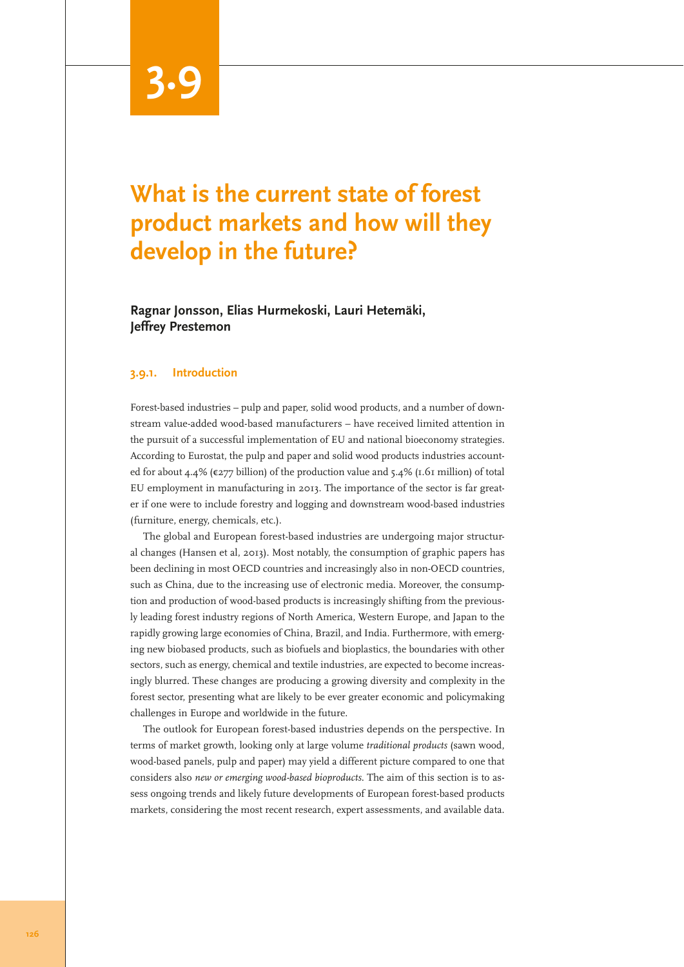# **3.9**

# **What is the current state of forest product markets and how will they develop in the future?**

**Ragnar Jonsson, Elias Hurmekoski, Lauri Hetemäki, Jeffrey Prestemon**

#### **3.9.1. Introduction**

Forest-based industries – pulp and paper, solid wood products, and a number of downstream value-added wood-based manufacturers – have received limited attention in the pursuit of a successful implementation of EU and national bioeconomy strategies. According to Eurostat, the pulp and paper and solid wood products industries accounted for about 4.4% ( $\epsilon$ 277 billion) of the production value and 5.4% (1.61 million) of total EU employment in manufacturing in 2013. The importance of the sector is far greater if one were to include forestry and logging and downstream wood-based industries (furniture, energy, chemicals, etc.).

The global and European forest-based industries are undergoing major structural changes (Hansen et al, 2013). Most notably, the consumption of graphic papers has been declining in most OECD countries and increasingly also in non-OECD countries, such as China, due to the increasing use of electronic media. Moreover, the consumption and production of wood-based products is increasingly shifting from the previously leading forest industry regions of North America, Western Europe, and Japan to the rapidly growing large economies of China, Brazil, and India. Furthermore, with emerging new biobased products, such as biofuels and bioplastics, the boundaries with other sectors, such as energy, chemical and textile industries, are expected to become increasingly blurred. These changes are producing a growing diversity and complexity in the forest sector, presenting what are likely to be ever greater economic and policymaking challenges in Europe and worldwide in the future.

The outlook for European forest-based industries depends on the perspective. In terms of market growth, looking only at large volume *traditional products* (sawn wood, wood-based panels, pulp and paper) may yield a different picture compared to one that considers also *new or emerging wood-based bioproducts*. The aim of this section is to assess ongoing trends and likely future developments of European forest-based products markets, considering the most recent research, expert assessments, and available data.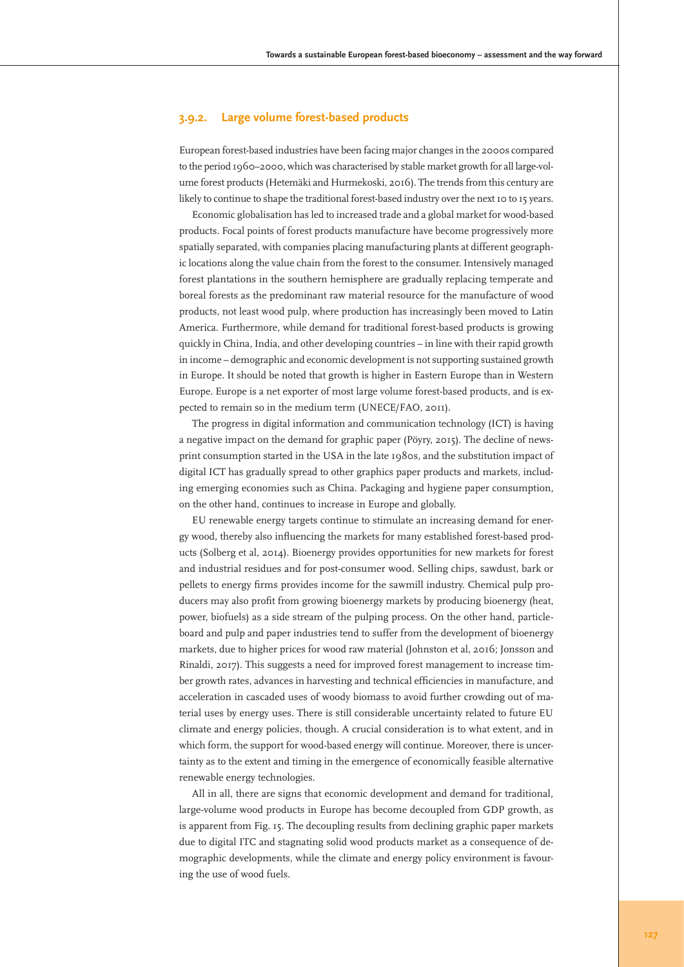## **3.9.2. Large volume forest-based products**

European forest-based industries have been facing major changes in the 2000s compared to the period 1960–2000, which was characterised by stable market growth for all large-volume forest products (Hetemäki and Hurmekoski, 2016). The trends from this century are likely to continue to shape the traditional forest-based industry over the next 10 to 15 years.

Economic globalisation has led to increased trade and a global market for wood-based products. Focal points of forest products manufacture have become progressively more spatially separated, with companies placing manufacturing plants at different geographic locations along the value chain from the forest to the consumer. Intensively managed forest plantations in the southern hemisphere are gradually replacing temperate and boreal forests as the predominant raw material resource for the manufacture of wood products, not least wood pulp, where production has increasingly been moved to Latin America. Furthermore, while demand for traditional forest-based products is growing quickly in China, India, and other developing countries – in line with their rapid growth in income – demographic and economic development is not supporting sustained growth in Europe. It should be noted that growth is higher in Eastern Europe than in Western Europe. Europe is a net exporter of most large volume forest-based products, and is expected to remain so in the medium term (UNECE/FAO, 2011).

The progress in digital information and communication technology (ICT) is having a negative impact on the demand for graphic paper (Pöyry, 2015). The decline of newsprint consumption started in the USA in the late 1980s, and the substitution impact of digital ICT has gradually spread to other graphics paper products and markets, including emerging economies such as China. Packaging and hygiene paper consumption, on the other hand, continues to increase in Europe and globally.

EU renewable energy targets continue to stimulate an increasing demand for energy wood, thereby also influencing the markets for many established forest-based products (Solberg et al, 2014). Bioenergy provides opportunities for new markets for forest and industrial residues and for post-consumer wood. Selling chips, sawdust, bark or pellets to energy firms provides income for the sawmill industry. Chemical pulp producers may also profit from growing bioenergy markets by producing bioenergy (heat, power, biofuels) as a side stream of the pulping process. On the other hand, particleboard and pulp and paper industries tend to suffer from the development of bioenergy markets, due to higher prices for wood raw material (Johnston et al, 2016; Jonsson and Rinaldi, 2017). This suggests a need for improved forest management to increase timber growth rates, advances in harvesting and technical efficiencies in manufacture, and acceleration in cascaded uses of woody biomass to avoid further crowding out of material uses by energy uses. There is still considerable uncertainty related to future EU climate and energy policies, though. A crucial consideration is to what extent, and in which form, the support for wood-based energy will continue. Moreover, there is uncertainty as to the extent and timing in the emergence of economically feasible alternative renewable energy technologies.

All in all, there are signs that economic development and demand for traditional, large-volume wood products in Europe has become decoupled from GDP growth, as is apparent from Fig. 15. The decoupling results from declining graphic paper markets due to digital ITC and stagnating solid wood products market as a consequence of demographic developments, while the climate and energy policy environment is favouring the use of wood fuels.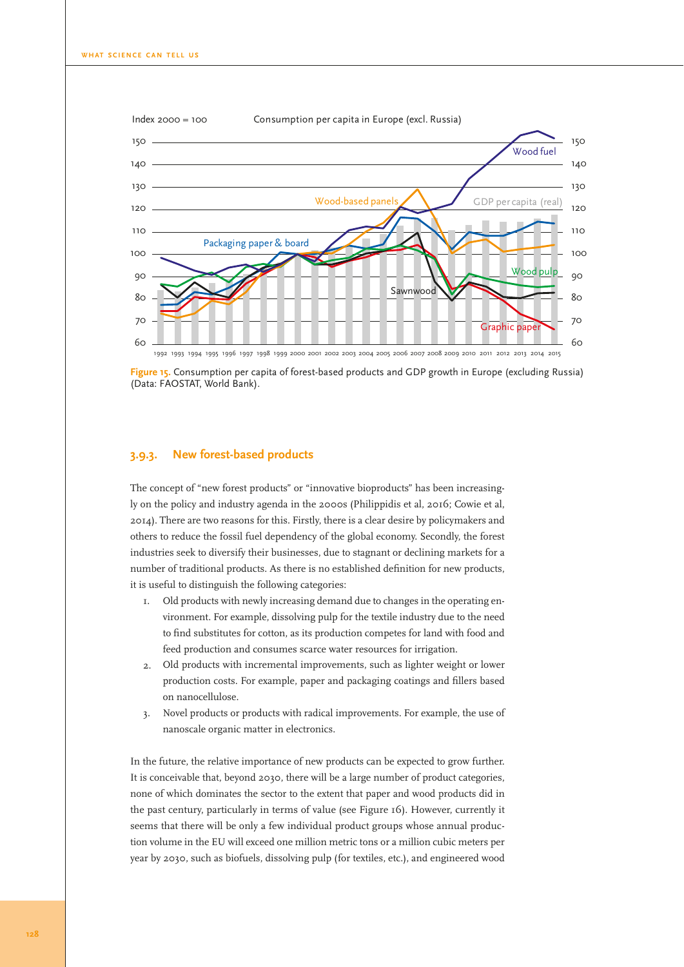

**Figure 15.** Consumption per capita of forest-based products and GDP growth in Europe (excluding Russia) (Data: FAOSTAT, World Bank).

### **3.9.3. New forest-based products**

The concept of "new forest products" or "innovative bioproducts" has been increasingly on the policy and industry agenda in the 2000s (Philippidis et al, 2016; Cowie et al, 2014). There are two reasons for this. Firstly, there is a clear desire by policymakers and others to reduce the fossil fuel dependency of the global economy. Secondly, the forest industries seek to diversify their businesses, due to stagnant or declining markets for a number of traditional products. As there is no established definition for new products, it is useful to distinguish the following categories:

- 1. Old products with newly increasing demand due to changes in the operating environment. For example, dissolving pulp for the textile industry due to the need to find substitutes for cotton, as its production competes for land with food and feed production and consumes scarce water resources for irrigation.
- 2. Old products with incremental improvements, such as lighter weight or lower production costs. For example, paper and packaging coatings and fillers based on nanocellulose.
- 3. Novel products or products with radical improvements. For example, the use of nanoscale organic matter in electronics.

In the future, the relative importance of new products can be expected to grow further. It is conceivable that, beyond 2030, there will be a large number of product categories, none of which dominates the sector to the extent that paper and wood products did in the past century, particularly in terms of value (see Figure 16). However, currently it seems that there will be only a few individual product groups whose annual production volume in the EU will exceed one million metric tons or a million cubic meters per year by 2030, such as biofuels, dissolving pulp (for textiles, etc.), and engineered wood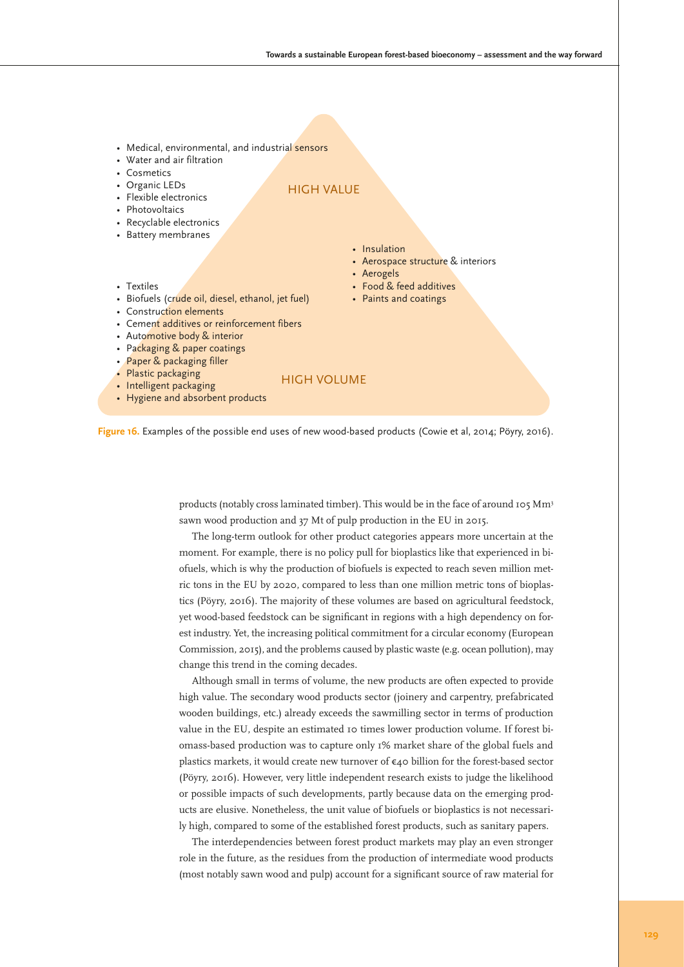- Medical, environmental, and industrial sensors
- Water and air filtration
- Cosmetics
- Organic LEDs
- Flexible electronics
- Photovoltaics
- Recyclable electronics
- Battery membranes

### HIGH VALUE

- Insulation
	- Aerospace structure & interiors
	- Aerogels
- Food & feed additives
	- Paints and coatings
- Textiles
- Biofuels (crude oil, diesel, ethanol, jet fuel) • Construction elements
- Cement additives or reinforcement fibers
- Automotive body & interior
- Packaging & paper coatings
- Paper & packaging filler
- Plastic packaging

#### HIGH VOLUME

- Intelligent packaging • Hygiene and absorbent products
	-



products (notably cross laminated timber). This would be in the face of around 105 Mm<sup>3</sup> sawn wood production and 37 Mt of pulp production in the EU in 2015.

The long-term outlook for other product categories appears more uncertain at the moment. For example, there is no policy pull for bioplastics like that experienced in biofuels, which is why the production of biofuels is expected to reach seven million metric tons in the EU by 2020, compared to less than one million metric tons of bioplastics (Pöyry, 2016). The majority of these volumes are based on agricultural feedstock, yet wood-based feedstock can be significant in regions with a high dependency on forest industry. Yet, the increasing political commitment for a circular economy (European Commission, 2015), and the problems caused by plastic waste (e.g. ocean pollution), may change this trend in the coming decades.

Although small in terms of volume, the new products are often expected to provide high value. The secondary wood products sector (joinery and carpentry, prefabricated wooden buildings, etc.) already exceeds the sawmilling sector in terms of production value in the EU, despite an estimated 10 times lower production volume. If forest biomass-based production was to capture only 1% market share of the global fuels and plastics markets, it would create new turnover of €40 billion for the forest-based sector (Pöyry, 2016). However, very little independent research exists to judge the likelihood or possible impacts of such developments, partly because data on the emerging products are elusive. Nonetheless, the unit value of biofuels or bioplastics is not necessarily high, compared to some of the established forest products, such as sanitary papers.

The interdependencies between forest product markets may play an even stronger role in the future, as the residues from the production of intermediate wood products (most notably sawn wood and pulp) account for a significant source of raw material for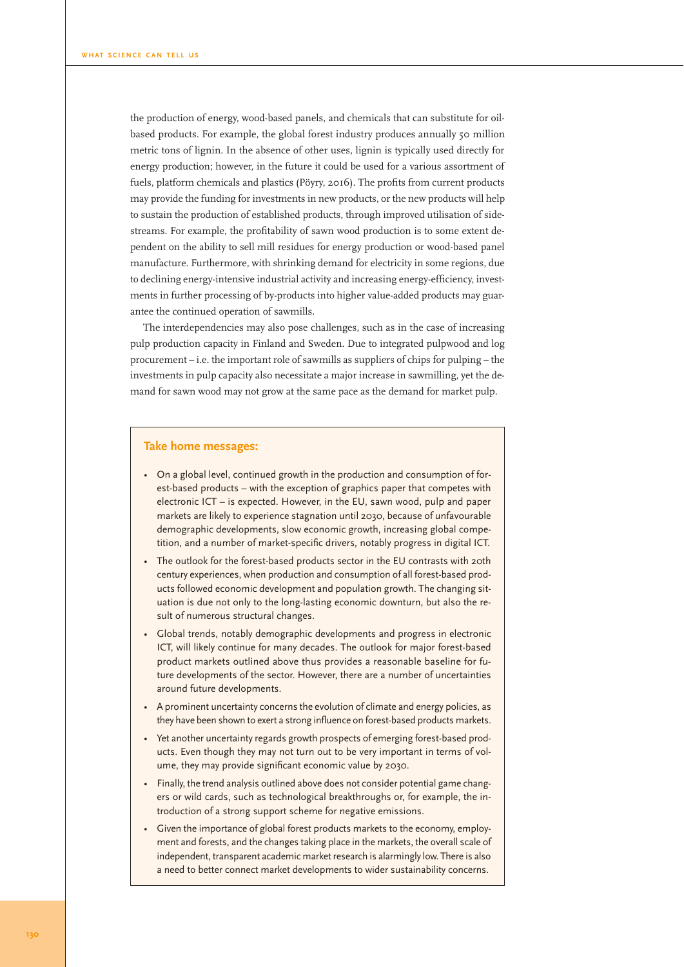the production of energy, wood-based panels, and chemicals that can substitute for oilbased products. For example, the global forest industry produces annually 50 million metric tons of lignin. In the absence of other uses, lignin is typically used directly for energy production; however, in the future it could be used for a various assortment of fuels, platform chemicals and plastics (Pöyry, 2016). The profits from current products may provide the funding for investments in new products, or the new products will help to sustain the production of established products, through improved utilisation of sidestreams. For example, the profitability of sawn wood production is to some extent dependent on the ability to sell mill residues for energy production or wood-based panel manufacture. Furthermore, with shrinking demand for electricity in some regions, due to declining energy-intensive industrial activity and increasing energy-efficiency, investments in further processing of by-products into higher value-added products may guarantee the continued operation of sawmills.

The interdependencies may also pose challenges, such as in the case of increasing pulp production capacity in Finland and Sweden. Due to integrated pulpwood and log procurement – i.e. the important role of sawmills as suppliers of chips for pulping – the investments in pulp capacity also necessitate a major increase in sawmilling, yet the demand for sawn wood may not grow at the same pace as the demand for market pulp.

#### **Take home messages:**

- On a global level, continued growth in the production and consumption of forest-based products – with the exception of graphics paper that competes with electronic ICT – is expected. However, in the EU, sawn wood, pulp and paper markets are likely to experience stagnation until 2030, because of unfavourable demographic developments, slow economic growth, increasing global competition, and a number of market-specific drivers, notably progress in digital ICT.
- The outlook for the forest-based products sector in the EU contrasts with 20th century experiences, when production and consumption of all forest-based products followed economic development and population growth. The changing situation is due not only to the long-lasting economic downturn, but also the result of numerous structural changes.
- Global trends, notably demographic developments and progress in electronic ICT, will likely continue for many decades. The outlook for major forest-based product markets outlined above thus provides a reasonable baseline for future developments of the sector. However, there are a number of uncertainties around future developments.
- A prominent uncertainty concerns the evolution of climate and energy policies, as they have been shown to exert a strong influence on forest-based products markets.
- Yet another uncertainty regards growth prospects of emerging forest-based products. Even though they may not turn out to be very important in terms of volume, they may provide significant economic value by 2030.
- Finally, the trend analysis outlined above does not consider potential game changers or wild cards, such as technological breakthroughs or, for example, the introduction of a strong support scheme for negative emissions.
- Given the importance of global forest products markets to the economy, employment and forests, and the changes taking place in the markets, the overall scale of independent, transparent academic market research is alarmingly low. There is also a need to better connect market developments to wider sustainability concerns.